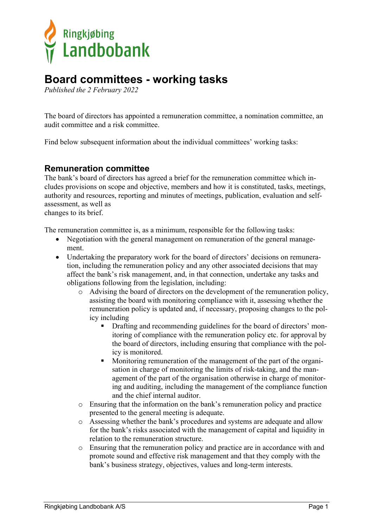

# **Board committees - working tasks**

*Published the 2 February 2022*

The board of directors has appointed a remuneration committee, a nomination committee, an audit committee and a risk committee.

Find below subsequent information about the individual committees' working tasks:

#### **Remuneration committee**

The bank's board of directors has agreed a brief for the remuneration committee which includes provisions on scope and objective, members and how it is constituted, tasks, meetings, authority and resources, reporting and minutes of meetings, publication, evaluation and selfassessment, as well as

changes to its brief.

The remuneration committee is, as a minimum, responsible for the following tasks:

- Negotiation with the general management on remuneration of the general management.
- Undertaking the preparatory work for the board of directors' decisions on remuneration, including the remuneration policy and any other associated decisions that may affect the bank's risk management, and, in that connection, undertake any tasks and obligations following from the legislation, including:
	- o Advising the board of directors on the development of the remuneration policy, assisting the board with monitoring compliance with it, assessing whether the remuneration policy is updated and, if necessary, proposing changes to the policy including
		- Drafting and recommending guidelines for the board of directors' monitoring of compliance with the remuneration policy etc. for approval by the board of directors, including ensuring that compliance with the policy is monitored.
		- **Monitoring remuneration of the management of the part of the organi**sation in charge of monitoring the limits of risk-taking, and the management of the part of the organisation otherwise in charge of monitoring and auditing, including the management of the compliance function and the chief internal auditor.
	- o Ensuring that the information on the bank's remuneration policy and practice presented to the general meeting is adequate.
	- o Assessing whether the bank's procedures and systems are adequate and allow for the bank's risks associated with the management of capital and liquidity in relation to the remuneration structure.
	- o Ensuring that the remuneration policy and practice are in accordance with and promote sound and effective risk management and that they comply with the bank's business strategy, objectives, values and long-term interests.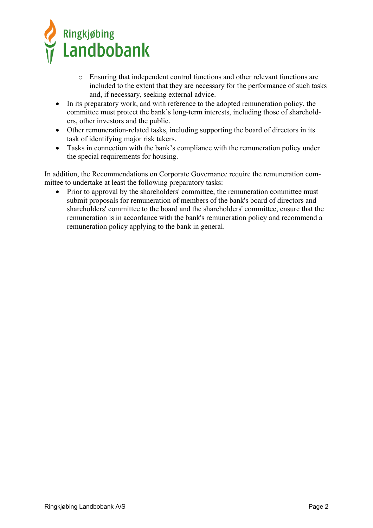

- o Ensuring that independent control functions and other relevant functions are included to the extent that they are necessary for the performance of such tasks and, if necessary, seeking external advice.
- In its preparatory work, and with reference to the adopted remuneration policy, the committee must protect the bank's long-term interests, including those of shareholders, other investors and the public.
- Other remuneration-related tasks, including supporting the board of directors in its task of identifying major risk takers.
- Tasks in connection with the bank's compliance with the remuneration policy under the special requirements for housing.

In addition, the Recommendations on Corporate Governance require the remuneration committee to undertake at least the following preparatory tasks:

• Prior to approval by the shareholders' committee, the remuneration committee must submit proposals for remuneration of members of the bank's board of directors and shareholders' committee to the board and the shareholders' committee, ensure that the remuneration is in accordance with the bank's remuneration policy and recommend a remuneration policy applying to the bank in general.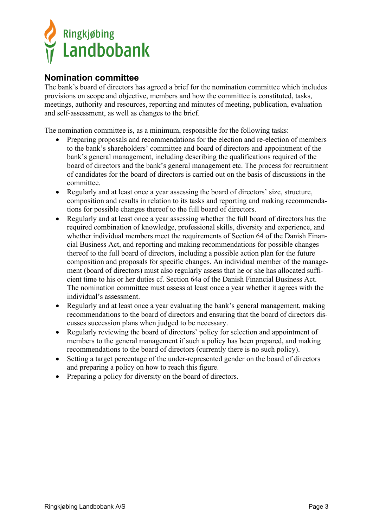

### **Nomination committee**

The bank's board of directors has agreed a brief for the nomination committee which includes provisions on scope and objective, members and how the committee is constituted, tasks, meetings, authority and resources, reporting and minutes of meeting, publication, evaluation and self-assessment, as well as changes to the brief.

The nomination committee is, as a minimum, responsible for the following tasks:

- Preparing proposals and recommendations for the election and re-election of members to the bank's shareholders' committee and board of directors and appointment of the bank's general management, including describing the qualifications required of the board of directors and the bank's general management etc. The process for recruitment of candidates for the board of directors is carried out on the basis of discussions in the committee.
- Regularly and at least once a year assessing the board of directors' size, structure, composition and results in relation to its tasks and reporting and making recommendations for possible changes thereof to the full board of directors.
- Regularly and at least once a year assessing whether the full board of directors has the required combination of knowledge, professional skills, diversity and experience, and whether individual members meet the requirements of Section 64 of the Danish Financial Business Act, and reporting and making recommendations for possible changes thereof to the full board of directors, including a possible action plan for the future composition and proposals for specific changes. An individual member of the management (board of directors) must also regularly assess that he or she has allocated sufficient time to his or her duties cf. Section 64a of the Danish Financial Business Act. The nomination committee must assess at least once a year whether it agrees with the individual's assessment.
- Regularly and at least once a year evaluating the bank's general management, making recommendations to the board of directors and ensuring that the board of directors discusses succession plans when judged to be necessary.
- Regularly reviewing the board of directors' policy for selection and appointment of members to the general management if such a policy has been prepared, and making recommendations to the board of directors (currently there is no such policy).
- Setting a target percentage of the under-represented gender on the board of directors and preparing a policy on how to reach this figure.
- Preparing a policy for diversity on the board of directors.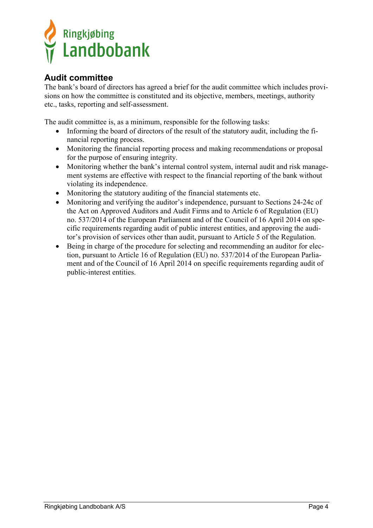

## **Audit committee**

The bank's board of directors has agreed a brief for the audit committee which includes provisions on how the committee is constituted and its objective, members, meetings, authority etc., tasks, reporting and self-assessment.

The audit committee is, as a minimum, responsible for the following tasks:

- Informing the board of directors of the result of the statutory audit, including the financial reporting process.
- Monitoring the financial reporting process and making recommendations or proposal for the purpose of ensuring integrity.
- Monitoring whether the bank's internal control system, internal audit and risk management systems are effective with respect to the financial reporting of the bank without violating its independence.
- Monitoring the statutory auditing of the financial statements etc.
- Monitoring and verifying the auditor's independence, pursuant to Sections 24-24c of the Act on Approved Auditors and Audit Firms and to Article 6 of Regulation (EU) no. 537/2014 of the European Parliament and of the Council of 16 April 2014 on specific requirements regarding audit of public interest entities, and approving the auditor's provision of services other than audit, pursuant to Article 5 of the Regulation.
- Being in charge of the procedure for selecting and recommending an auditor for election, pursuant to Article 16 of Regulation (EU) no. 537/2014 of the European Parliament and of the Council of 16 April 2014 on specific requirements regarding audit of public-interest entities.